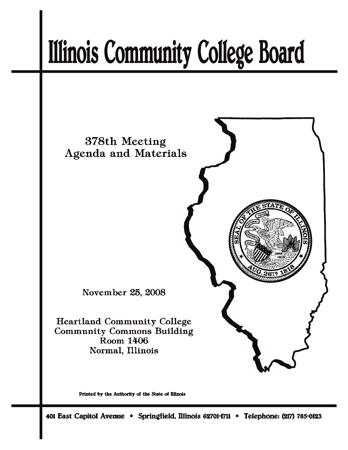# **Illinois Community College Board**



Printed by the Authority of the State of Illinois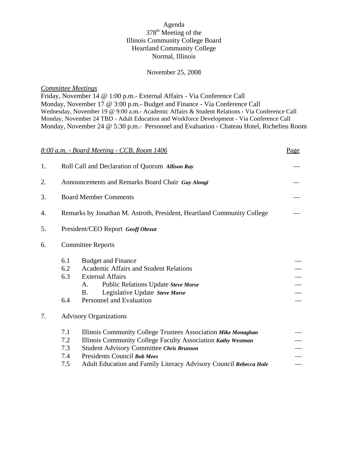# Agenda 378th Meeting of the Illinois Community College Board Heartland Community College Normal, Illinois

#### November 25, 2008

# *Committee Meetings*

Friday, November 14 @ 1:00 p.m.- External Affairs - Via Conference Call Monday, November 17 @ 3:00 p.m.- Budget and Finance - Via Conference Call Wednesday, November 19 @ 9:00 a.m.- Academic Affairs & Student Relations *-* Via Conference Call Monday, November 24 TBD - Adult Education and Workforce Development - Via Conference Call Monday, November 24 @ 5:30 p.m.- Personnel and Evaluation - Chateau Hotel, Richelieu Room

|    | 8:00 a.m. - Board Meeting - CCB, Room 1406                                                                                                                                                                                                                                                                       | Page |  |  |
|----|------------------------------------------------------------------------------------------------------------------------------------------------------------------------------------------------------------------------------------------------------------------------------------------------------------------|------|--|--|
| 1. | Roll Call and Declaration of Quorum Allison Ray                                                                                                                                                                                                                                                                  |      |  |  |
| 2. | Announcements and Remarks Board Chair Guy Alongi                                                                                                                                                                                                                                                                 |      |  |  |
| 3. | <b>Board Member Comments</b>                                                                                                                                                                                                                                                                                     |      |  |  |
| 4. | Remarks by Jonathan M. Astroth, President, Heartland Community College                                                                                                                                                                                                                                           |      |  |  |
| 5. | President/CEO Report Geoff Obrzut                                                                                                                                                                                                                                                                                |      |  |  |
| 6. | <b>Committee Reports</b>                                                                                                                                                                                                                                                                                         |      |  |  |
|    | 6.1<br><b>Budget and Finance</b><br>Academic Affairs and Student Relations<br>6.2<br>6.3<br><b>External Affairs</b><br>Public Relations Update Steve Morse<br>A.<br>Legislative Update Steve Morse<br><b>B.</b><br>6.4<br>Personnel and Evaluation                                                               |      |  |  |
| 7. | <b>Advisory Organizations</b>                                                                                                                                                                                                                                                                                    |      |  |  |
|    | 7.1<br>Illinois Community College Trustees Association Mike Monaghan<br>Illinois Community College Faculty Association Kathy Westman<br>7.2<br>7.3<br>Student Advisory Committee Chris Brunson<br>Presidents Council Bob Mees<br>7.4<br>Adult Education and Family Literacy Advisory Council Rebecca Hale<br>7.5 |      |  |  |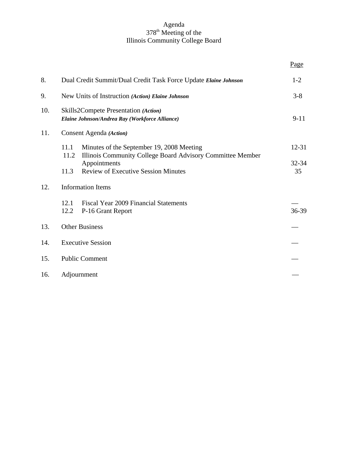#### Agenda 378<sup>th</sup> Meeting of the Illinois Community College Board

|     |                                                                                                                         | Page        |
|-----|-------------------------------------------------------------------------------------------------------------------------|-------------|
| 8.  | Dual Credit Summit/Dual Credit Task Force Update Elaine Johnson                                                         | $1-2$       |
| 9.  | New Units of Instruction (Action) Elaine Johnson                                                                        | $3 - 8$     |
| 10. | Skills2Compete Presentation (Action)<br>Elaine Johnson/Andrea Ray (Workforce Alliance)                                  | $9-11$      |
| 11. | Consent Agenda (Action)                                                                                                 |             |
|     | 11.1<br>Minutes of the September 19, 2008 Meeting<br>11.2<br>Illinois Community College Board Advisory Committee Member | $12 - 31$   |
|     | Appointments<br><b>Review of Executive Session Minutes</b><br>11.3                                                      | 32-34<br>35 |
| 12. | <b>Information Items</b>                                                                                                |             |
|     | <b>Fiscal Year 2009 Financial Statements</b><br>12.1<br>P-16 Grant Report<br>12.2                                       | 36-39       |
| 13. | <b>Other Business</b>                                                                                                   |             |
| 14. | <b>Executive Session</b>                                                                                                |             |
| 15. | <b>Public Comment</b>                                                                                                   |             |
| 16. | Adjournment                                                                                                             |             |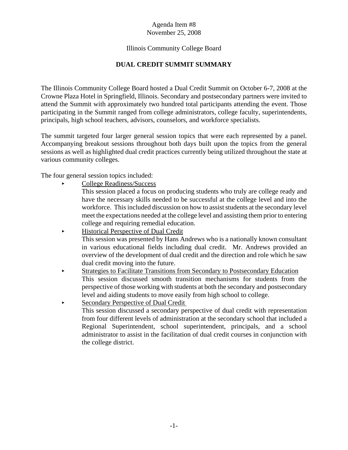# Illinois Community College Board

# **DUAL CREDIT SUMMIT SUMMARY**

The Illinois Community College Board hosted a Dual Credit Summit on October 6-7, 2008 at the Crowne Plaza Hotel in Springfield, Illinois. Secondary and postsecondary partners were invited to attend the Summit with approximately two hundred total participants attending the event. Those participating in the Summit ranged from college administrators, college faculty, superintendents, principals, high school teachers, advisors, counselors, and workforce specialists.

The summit targeted four larger general session topics that were each represented by a panel. Accompanying breakout sessions throughout both days built upon the topics from the general sessions as well as highlighted dual credit practices currently being utilized throughout the state at various community colleges.

The four general session topics included:

< College Readiness/Success

This session placed a focus on producing students who truly are college ready and have the necessary skills needed to be successful at the college level and into the workforce. This included discussion on how to assist students at the secondary level meet the expectations needed at the college level and assisting them prior to entering college and requiring remedial education.

- < Historical Perspective of Dual Credit This session was presented by Hans Andrews who is a nationally known consultant in various educational fields including dual credit. Mr. Andrews provided an overview of the development of dual credit and the direction and role which he saw dual credit moving into the future.
- < Strategies to Facilitate Transitions from Secondary to Postsecondary Education This session discussed smooth transition mechanisms for students from the perspective of those working with students at both the secondary and postsecondary level and aiding students to move easily from high school to college.
- Secondary Perspective of Dual Credit This session discussed a secondary perspective of dual credit with representation from four different levels of administration at the secondary school that included a Regional Superintendent, school superintendent, principals, and a school administrator to assist in the facilitation of dual credit courses in conjunction with the college district.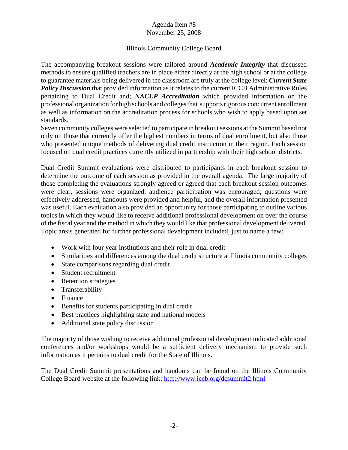# Illinois Community College Board

The accompanying breakout sessions were tailored around *Academic Integrity* that discussed methods to ensure qualified teachers are in place either directly at the high school or at the college to guarantee materials being delivered in the classroom are truly at the college level; *Current State Policy Discussion* that provided information as it relates to the current ICCB Administrative Rules pertaining to Dual Credit and; *NACEP Accreditation* which provided information on the professional organization for high schools and colleges that supports rigorous concurrent enrollment as well as information on the accreditation process for schools who wish to apply based upon set standards.

Seven community colleges were selected to participate in breakout sessions at the Summit based not only on those that currently offer the highest numbers in terms of dual enrollment, but also those who presented unique methods of delivering dual credit instruction in their region. Each session focused on dual credit practices currently utilized in partnership with their high school districts.

Dual Credit Summit evaluations were distributed to participants in each breakout session to determine the outcome of each session as provided in the overall agenda. The large majority of those completing the evaluations strongly agreed or agreed that each breakout session outcomes were clear, sessions were organized, audience participation was encouraged, questions were effectively addressed, handouts were provided and helpful, and the overall information presented was useful. Each evaluation also provided an opportunity for those participating to outline various topics in which they would like to receive additional professional development on over the course of the fiscal year and the method in which they would like that professional development delivered. Topic areas generated for further professional development included, just to name a few:

- Work with four year institutions and their role in dual credit
- Similarities and differences among the dual credit structure at Illinois community colleges
- State comparisons regarding dual credit
- Student recruitment
- Retention strategies
- Transferability
- Finance
- Benefits for students participating in dual credit
- Best practices highlighting state and national models
- Additional state policy discussion

The majority of those wishing to receive additional professional development indicated additional conferences and/or workshops would be a sufficient delivery mechanism to provide such information as it pertains to dual credit for the State of Illinois.

The Dual Credit Summit presentations and handouts can be found on the Illinois Community College Board website at the following link: http://www.iccb.org/dcsummit2.html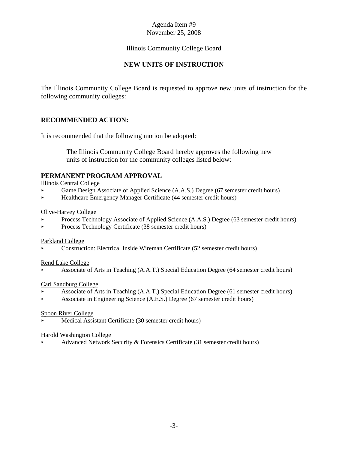# Illinois Community College Board

# **NEW UNITS OF INSTRUCTION**

The Illinois Community College Board is requested to approve new units of instruction for the following community colleges:

# **RECOMMENDED ACTION:**

It is recommended that the following motion be adopted:

 The Illinois Community College Board hereby approves the following new units of instruction for the community colleges listed below:

# **PERMANENT PROGRAM APPROVAL**

Illinois Central College

- Game Design Associate of Applied Science (A.A.S.) Degree (67 semester credit hours)
- < Healthcare Emergency Manager Certificate (44 semester credit hours)

# Olive-Harvey College

- < Process Technology Associate of Applied Science (A.A.S.) Degree (63 semester credit hours)
- < Process Technology Certificate (38 semester credit hours)

#### Parkland College

< Construction: Electrical Inside Wireman Certificate (52 semester credit hours)

#### Rend Lake College

< Associate of Arts in Teaching (A.A.T.) Special Education Degree (64 semester credit hours)

#### Carl Sandburg College

- < Associate of Arts in Teaching (A.A.T.) Special Education Degree (61 semester credit hours)
- < Associate in Engineering Science (A.E.S.) Degree (67 semester credit hours)

#### Spoon River College

Medical Assistant Certificate (30 semester credit hours)

#### Harold Washington College

Advanced Network Security & Forensics Certificate (31 semester credit hours)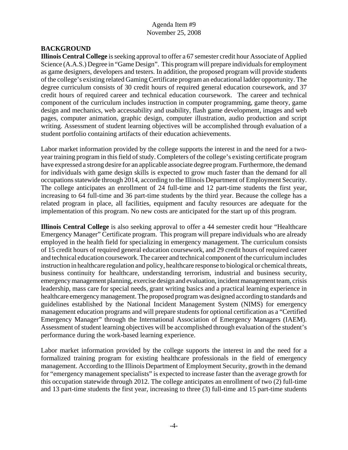# **BACKGROUND**

**Illinois Central College** is seeking approval to offer a 67 semester credit hour Associate of Applied Science (A.A.S.) Degree in "Game Design". This program will prepare individuals for employment as game designers, developers and testers. In addition, the proposed program will provide students of the college's existing related Gaming Certificate program an educational ladder opportunity. The degree curriculum consists of 30 credit hours of required general education coursework, and 37 credit hours of required career and technical education coursework. The career and technical component of the curriculum includes instruction in computer programming, game theory, game design and mechanics, web accessability and usability, flash game development, images and web pages, computer animation, graphic design, computer illustration, audio production and script writing. Assessment of student learning objectives will be accomplished through evaluation of a student portfolio containing artifacts of their education achievements.

Labor market information provided by the college supports the interest in and the need for a twoyear training program in this field of study. Completers of the college's existing certificate program have expressed a strong desire for an applicable associate degree program. Furthermore, the demand for individuals with game design skills is expected to grow much faster than the demand for all occupations statewide through 2014, according to the Illinois Department of Employment Security. The college anticipates an enrollment of 24 full-time and 12 part-time students the first year, increasing to 64 full-time and 36 part-time students by the third year. Because the college has a related program in place, all facilities, equipment and faculty resources are adequate for the implementation of this program. No new costs are anticipated for the start up of this program.

**Illinois Central College** is also seeking approval to offer a 44 semester credit hour "Healthcare Emergency Manager" Certificate program. This program will prepare individuals who are already employed in the health field for specializing in emergency management. The curriculum consists of 15 credit hours of required general education coursework, and 29 credit hours of required career and technical education coursework. The career and technical component of the curriculum includes instruction in healthcare regulation and policy, healthcare response to biological or chemical threats, business continuity for healthcare, understanding terrorism, industrial and business security, emergency management planning, exercise design and evaluation, incident management team, crisis leadership, mass care for special needs, grant writing basics and a practical learning experience in healthcare emergency management. The proposed program was designed according to standards and guidelines established by the National Incident Management System (NIMS) for emergency management education programs and will prepare students for optional certification as a "Certified Emergency Manager" through the International Association of Emergency Managers (IAEM). Assessment of student learning objectives will be accomplished through evaluation of the student's performance during the work-based learning experience.

Labor market information provided by the college supports the interest in and the need for a formalized training program for existing healthcare professionals in the field of emergency management. According to the Illinois Department of Employment Security, growth in the demand for "emergency management specialists" is expected to increase faster than the average growth for this occupation statewide through 2012. The college anticipates an enrollment of two (2) full-time and 13 part-time students the first year, increasing to three (3) full-time and 15 part-time students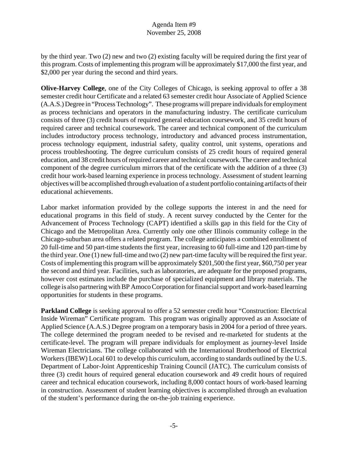by the third year. Two (2) new and two (2) existing faculty will be required during the first year of this program. Costs of implementing this program will be approximately \$17,000 the first year, and \$2,000 per year during the second and third years.

**Olive-Harvey College**, one of the City Colleges of Chicago, is seeking approval to offer a 38 semester credit hour Certificate and a related 63 semester credit hour Associate of Applied Science (A.A.S.) Degree in "Process Technology". These programs will prepare individuals for employment as process technicians and operators in the manufacturing industry. The certificate curriculum consists of three (3) credit hours of required general education coursework, and 35 credit hours of required career and technical coursework. The career and technical component of the curriculum includes introductory process technology, introductory and advanced process instrumentation, process technology equipment, industrial safety, quality control, unit systems, operations and process troubleshooting. The degree curriculum consists of 25 credit hours of required general education, and 38 credit hours of required career and technical coursework. The career and technical component of the degree curriculum mirrors that of the certificate with the addition of a three (3) credit hour work-based learning experience in process technology. Assessment of student learning objectives will be accomplished through evaluation of a student portfolio containing artifacts of their educational achievements.

Labor market information provided by the college supports the interest in and the need for educational programs in this field of study. A recent survey conducted by the Center for the Advancement of Process Technology (CAPT) identified a skills gap in this field for the City of Chicago and the Metropolitan Area. Currently only one other Illinois community college in the Chicago-suburban area offers a related program. The college anticipates a combined enrollment of 20 full-time and 50 part-time students the first year, increasing to 60 full-time and 120 part-time by the third year. One (1) new full-time and two (2) new part-time faculty will be required the first year. Costs of implementing this program will be approximately \$201,500 the first year, \$60,750 per year the second and third year. Facilities, such as laboratories, are adequate for the proposed programs, however cost estimates include the purchase of specialized equipment and library materials. The college is also partnering with BP Amoco Corporation for financial support and work-based learning opportunities for students in these programs.

**Parkland College** is seeking approval to offer a 52 semester credit hour "Construction: Electrical Inside Wireman" Certificate program. This program was originally approved as an Associate of Applied Science (A.A.S.) Degree program on a temporary basis in 2004 for a period of three years. The college determined the program needed to be revised and re-marketed for students at the certificate-level. The program will prepare individuals for employment as journey-level Inside Wireman Electricians. The college collaborated with the International Brotherhood of Electrical Workers (IBEW) Local 601 to develop this curriculum, according to standards outlined by the U.S. Department of Labor-Joint Apprenticeship Training Council (JATC). The curriculum consists of three (3) credit hours of required general education coursework and 49 credit hours of required career and technical education coursework, including 8,000 contact hours of work-based learning in construction. Assessment of student learning objectives is accomplished through an evaluation of the student's performance during the on-the-job training experience.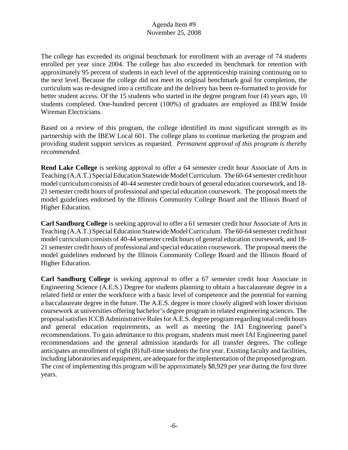The college has exceeded its original benchmark for enrollment with an average of 74 students enrolled per year since 2004. The college has also exceeded its benchmark for retention with approximately 95 percent of students in each level of the apprenticeship training continuing on to the next level. Because the college did not meet its original benchmark goal for completion, the curriculum was re-designed into a certificate and the delivery has been re-formatted to provide for better student access. Of the 15 students who started in the degree program four (4) years ago, 10 students completed. One-hundred percent (100%) of graduates are employed as IBEW Inside Wireman Electricians.

Based on a review of this program, the college identified its most significant strength as its partnership with the IBEW Local 601. The college plans to continue marketing the program and providing student support services as requested. *Permanent approval of this program is thereby recommended.* 

**Rend Lake College** is seeking approval to offer a 64 semester credit hour Associate of Arts in Teaching (A.A.T.) Special Education Statewide Model Curriculum. The 60-64 semester credit hour model curriculum consists of 40-44 semester credit hours of general education coursework, and 18- 21 semester credit hours of professional and special education coursework. The proposal meets the model guidelines endorsed by the Illinois Community College Board and the Illinois Board of Higher Education.

**Carl Sandburg College** is seeking approval to offer a 61 semester credit hour Associate of Arts in Teaching (A.A.T.) Special Education Statewide Model Curriculum. The 60-64 semester credit hour model curriculum consists of 40-44 semester credit hours of general education coursework, and 18- 21 semester credit hours of professional and special education coursework. The proposal meets the model guidelines endorsed by the Illinois Community College Board and the Illinois Board of Higher Education.

**Carl Sandburg College** is seeking approval to offer a 67 semester credit hour Associate in Engineering Science (A.E.S.) Degree for students planning to obtain a baccalaureate degree in a related field or enter the workforce with a basic level of competence and the potential for earning a baccalaureate degree in the future. The A.E.S. degree is more closely aligned with lower division coursework at universities offering bachelor's degree program in related engineering sciences. The proposal satisfies ICCB Administrative Rules for A.E.S. degree program regarding total credit hours and general education requirements, as well as meeting the IAI Engineering panel's recommendations. To gain admittance to this program, students must meet IAI Engineering panel recommendations and the general admission standards for all transfer degrees. The college anticipates an enrollment of eight (8) full-time students the first year. Existing faculty and facilities, including laboratories and equipment, are adequate for the implementation of the proposed program. The cost of implementing this program will be approximately \$8,929 per year during the first three years.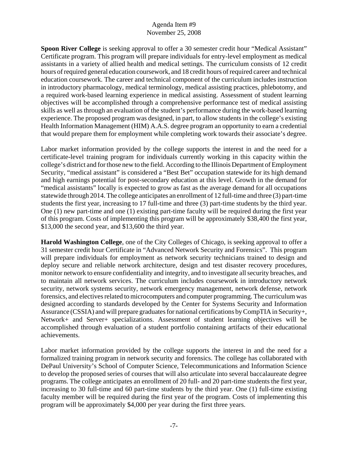**Spoon River College** is seeking approval to offer a 30 semester credit hour "Medical Assistant" Certificate program. This program will prepare individuals for entry-level employment as medical assistants in a variety of allied health and medical settings. The curriculum consists of 12 credit hours of required general education coursework, and 18 credit hours of required career and technical education coursework. The career and technical component of the curriculum includes instruction in introductory pharmacology, medical terminology, medical assisting practices, phlebotomy, and a required work-based learning experience in medical assisting. Assessment of student learning objectives will be accomplished through a comprehensive performance test of medical assisting skills as well as through an evaluation of the student's performance during the work-based learning experience. The proposed program was designed, in part, to allow students in the college's existing Health Information Management (HIM) A.A.S. degree program an opportunity to earn a credential that would prepare them for employment while completing work towards their associate's degree.

Labor market information provided by the college supports the interest in and the need for a certificate-level training program for individuals currently working in this capacity within the college's district and for those new to the field. According to the Illinois Department of Employment Security, "medical assistant" is considered a "Best Bet" occupation statewide for its high demand and high earnings potential for post-secondary education at this level. Growth in the demand for "medical assistants" locally is expected to grow as fast as the average demand for all occupations statewide through 2014. The college anticipates an enrollment of 12 full-time and three (3) part-time students the first year, increasing to 17 full-time and three (3) part-time students by the third year. One (1) new part-time and one (1) existing part-time faculty will be required during the first year of this program. Costs of implementing this program will be approximately \$38,400 the first year, \$13,000 the second year, and \$13,600 the third year.

**Harold Washington College**, one of the City Colleges of Chicago, is seeking approval to offer a 31 semester credit hour Certificate in "Advanced Network Security and Forensics". This program will prepare individuals for employment as network security technicians trained to design and deploy secure and reliable network architecture, design and test disaster recovery procedures, monitor network to ensure confidentiality and integrity, and to investigate all security breaches, and to maintain all network services. The curriculum includes coursework in introductory network security, network systems security, network emergency management, network defense, network forensics, and electives related to microcomputers and computer programming. The curriculum was designed according to standards developed by the Center for Systems Security and Information Assurance (CSSIA) and will prepare graduates for national certifications by CompTIA in Security+, Network+ and Server+ specializations. Assessment of student learning objectives will be accomplished through evaluation of a student portfolio containing artifacts of their educational achievements.

Labor market information provided by the college supports the interest in and the need for a formalized training program in network security and forensics. The college has collaborated with DePaul University's School of Computer Science, Telecommunications and Information Science to develop the proposed series of courses that will also articulate into several baccalaureate degree programs. The college anticipates an enrollment of 20 full- and 20 part-time students the first year, increasing to 30 full-time and 60 part-time students by the third year. One (1) full-time existing faculty member will be required during the first year of the program. Costs of implementing this program will be approximately \$4,000 per year during the first three years.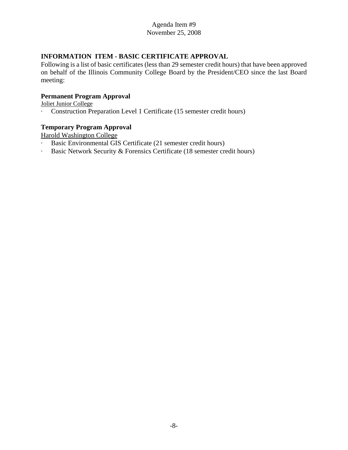# **INFORMATION ITEM - BASIC CERTIFICATE APPROVAL**

Following is a list of basic certificates (less than 29 semester credit hours) that have been approved on behalf of the Illinois Community College Board by the President/CEO since the last Board meeting:

# **Permanent Program Approval**

Joliet Junior College

· Construction Preparation Level 1 Certificate (15 semester credit hours)

#### **Temporary Program Approval**

Harold Washington College

- · Basic Environmental GIS Certificate (21 semester credit hours)
- · Basic Network Security & Forensics Certificate (18 semester credit hours)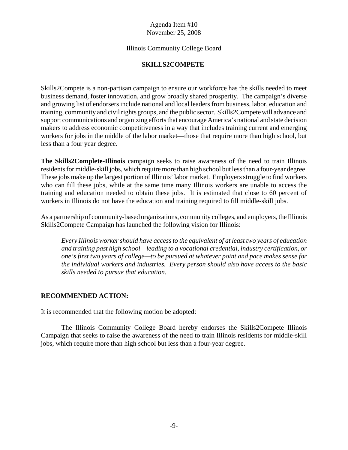# Illinois Community College Board

# **SKILLS2COMPETE**

Skills2Compete is a non-partisan campaign to ensure our workforce has the skills needed to meet business demand, foster innovation, and grow broadly shared prosperity. The campaign's diverse and growing list of endorsers include national and local leaders from business, labor, education and training, community and civil rights groups, and the public sector. Skills2Compete will advance and support communications and organizing efforts that encourage America's national and state decision makers to address economic competitiveness in a way that includes training current and emerging workers for jobs in the middle of the labor market—those that require more than high school, but less than a four year degree.

**The Skills2Complete-Illinois** campaign seeks to raise awareness of the need to train Illinois residents for middle-skill jobs, which require more than high school but less than a four-year degree. These jobs make up the largest portion of Illinois' labor market. Employers struggle to find workers who can fill these jobs, while at the same time many Illinois workers are unable to access the training and education needed to obtain these jobs. It is estimated that close to 60 percent of workers in Illinois do not have the education and training required to fill middle-skill jobs.

As a partnership of community-based organizations, community colleges, and employers, the Illinois Skills2Compete Campaign has launched the following vision for Illinois:

*Every Illinois worker should have access to the equivalent of at least two years of education and training past high school—leading to a vocational credential, industry certification, or one's first two years of college—to be pursued at whatever point and pace makes sense for the individual workers and industries. Every person should also have access to the basic skills needed to pursue that education.*

# **RECOMMENDED ACTION:**

It is recommended that the following motion be adopted:

The Illinois Community College Board hereby endorses the Skills2Compete Illinois Campaign that seeks to raise the awareness of the need to train Illinois residents for middle-skill jobs, which require more than high school but less than a four-year degree.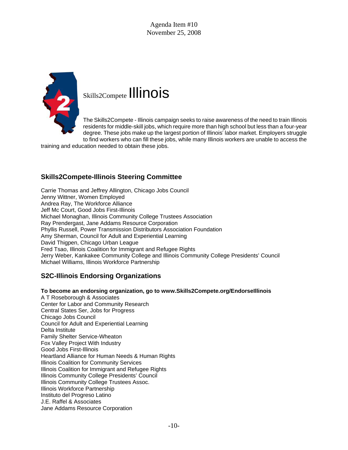

# Skills2Compete Illinois

The Skills2Compete - Illinois campaign seeks to raise awareness of the need to train Illinois residents for middle-skill jobs, which require more than high school but less than a four-year degree. These jobs make up the largest portion of Illinois' labor market. Employers struggle to find workers who can fill these jobs, while many Illinois workers are unable to access the

training and education needed to obtain these jobs.

# **Skills2Compete-Illinois Steering Committee**

Carrie Thomas and Jeffrey Allington, Chicago Jobs Council Jenny Wittner, Women Employed Andrea Ray, The Workforce Alliance Jeff Mc Court, Good Jobs First-Illinois Michael Monaghan, Illinois Community College Trustees Association Ray Prendergast, Jane Addams Resource Corporation Phyllis Russell, Power Transmission Distributors Association Foundation Amy Sherman, Council for Adult and Experiential Learning David Thigpen, Chicago Urban League Fred Tsao, Illinois Coalition for Immigrant and Refugee Rights Jerry Weber, Kankakee Community College and Illinois Community College Presidents' Council Michael Williams, Illinois Workforce Partnership

# **S2C-Illinois Endorsing Organizations**

# **To become an endorsing organization, go to www.Skills2Compete.org/EndorseIllinois**

A T Roseborough & Associates Center for Labor and Community Research Central States Ser, Jobs for Progress Chicago Jobs Council Council for Adult and Experiential Learning Delta Institute Family Shelter Service-Wheaton Fox Valley Project With Industry Good Jobs First-Illinois Heartland Alliance for Human Needs & Human Rights Illinois Coalition for Community Services Illinois Coalition for Immigrant and Refugee Rights Illinois Community College Presidents' Council Illinois Community College Trustees Assoc. Illinois Workforce Partnership Instituto del Progreso Latino J.E. Raffel & Associates Jane Addams Resource Corporation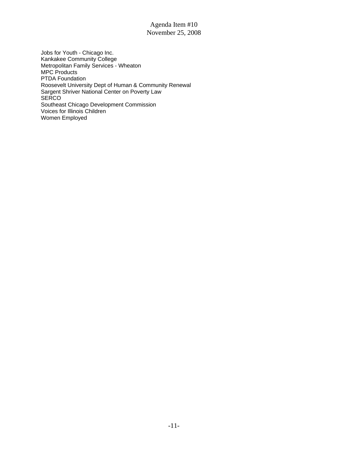Jobs for Youth - Chicago Inc. Kankakee Community College Metropolitan Family Services - Wheaton MPC Products PTDA Foundation Roosevelt University Dept of Human & Community Renewal Sargent Shriver National Center on Poverty Law **SERCO** Southeast Chicago Development Commission Voices for Illinois Children Women Employed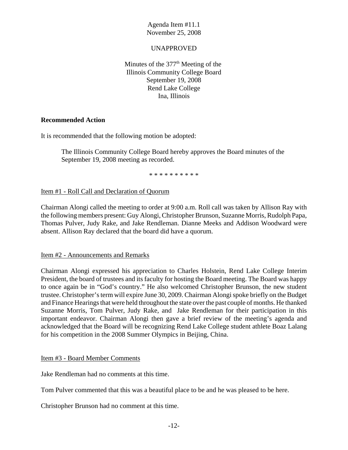# UNAPPROVED

Minutes of the  $377<sup>th</sup>$  Meeting of the Illinois Community College Board September 19, 2008 Rend Lake College Ina, Illinois

# **Recommended Action**

It is recommended that the following motion be adopted:

The Illinois Community College Board hereby approves the Board minutes of the September 19, 2008 meeting as recorded.

\* \* \* \* \* \* \* \* \* \*

# Item #1 - Roll Call and Declaration of Quorum

Chairman Alongi called the meeting to order at 9:00 a.m. Roll call was taken by Allison Ray with the following members present: Guy Alongi, Christopher Brunson, Suzanne Morris, Rudolph Papa, Thomas Pulver, Judy Rake, and Jake Rendleman. Dianne Meeks and Addison Woodward were absent. Allison Ray declared that the board did have a quorum.

#### Item #2 - Announcements and Remarks

Chairman Alongi expressed his appreciation to Charles Holstein, Rend Lake College Interim President, the board of trustees and its faculty for hosting the Board meeting. The Board was happy to once again be in "God's country." He also welcomed Christopher Brunson, the new student trustee. Christopher's term will expire June 30, 2009. Chairman Alongi spoke briefly on the Budget and Finance Hearings that were held throughout the state over the past couple of months. He thanked Suzanne Morris, Tom Pulver, Judy Rake, and Jake Rendleman for their participation in this important endeavor. Chairman Alongi then gave a brief review of the meeting's agenda and acknowledged that the Board will be recognizing Rend Lake College student athlete Boaz Lalang for his competition in the 2008 Summer Olympics in Beijing, China.

#### Item #3 - Board Member Comments

Jake Rendleman had no comments at this time.

Tom Pulver commented that this was a beautiful place to be and he was pleased to be here.

Christopher Brunson had no comment at this time.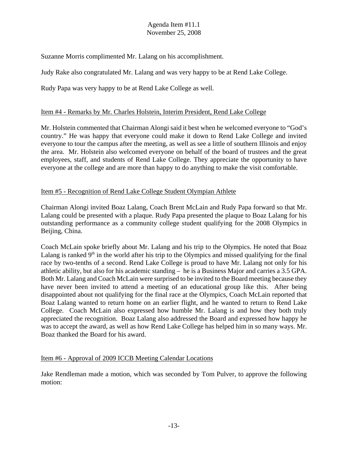Suzanne Morris complimented Mr. Lalang on his accomplishment.

Judy Rake also congratulated Mr. Lalang and was very happy to be at Rend Lake College.

Rudy Papa was very happy to be at Rend Lake College as well.

# Item #4 - Remarks by Mr. Charles Holstein, Interim President, Rend Lake College

Mr. Holstein commented that Chairman Alongi said it best when he welcomed everyone to "God's country." He was happy that everyone could make it down to Rend Lake College and invited everyone to tour the campus after the meeting, as well as see a little of southern Illinois and enjoy the area. Mr. Holstein also welcomed everyone on behalf of the board of trustees and the great employees, staff, and students of Rend Lake College. They appreciate the opportunity to have everyone at the college and are more than happy to do anything to make the visit comfortable.

# Item #5 - Recognition of Rend Lake College Student Olympian Athlete

Chairman Alongi invited Boaz Lalang, Coach Brent McLain and Rudy Papa forward so that Mr. Lalang could be presented with a plaque. Rudy Papa presented the plaque to Boaz Lalang for his outstanding performance as a community college student qualifying for the 2008 Olympics in Beijing, China.

Coach McLain spoke briefly about Mr. Lalang and his trip to the Olympics. He noted that Boaz Lalang is ranked  $9<sup>th</sup>$  in the world after his trip to the Olympics and missed qualifying for the final race by two-tenths of a second. Rend Lake College is proud to have Mr. Lalang not only for his athletic ability, but also for his academic standing – he is a Business Major and carries a 3.5 GPA. Both Mr. Lalang and Coach McLain were surprised to be invited to the Board meeting because they have never been invited to attend a meeting of an educational group like this. After being disappointed about not qualifying for the final race at the Olympics, Coach McLain reported that Boaz Lalang wanted to return home on an earlier flight, and he wanted to return to Rend Lake College. Coach McLain also expressed how humble Mr. Lalang is and how they both truly appreciated the recognition. Boaz Lalang also addressed the Board and expressed how happy he was to accept the award, as well as how Rend Lake College has helped him in so many ways. Mr. Boaz thanked the Board for his award.

# Item #6 - Approval of 2009 ICCB Meeting Calendar Locations

Jake Rendleman made a motion, which was seconded by Tom Pulver, to approve the following motion: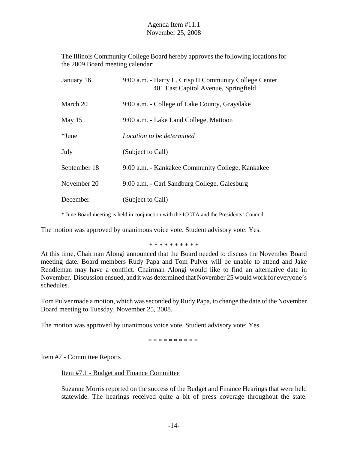The Illinois Community College Board hereby approves the following locations for the 2009 Board meeting calendar:

| January 16   | 9:00 a.m. - Harry L. Crisp II Community College Center<br>401 East Capitol Avenue, Springfield |
|--------------|------------------------------------------------------------------------------------------------|
| March 20     | 9:00 a.m. - College of Lake County, Grayslake                                                  |
| May $15$     | 9:00 a.m. - Lake Land College, Mattoon                                                         |
| *June        | Location to be determined                                                                      |
| July         | (Subject to Call)                                                                              |
| September 18 | 9:00 a.m. - Kankakee Community College, Kankakee                                               |
| November 20  | 9:00 a.m. - Carl Sandburg College, Galesburg                                                   |
| December     | (Subject to Call)                                                                              |

\* June Board meeting is held in conjunction with the ICCTA and the Presidents' Council.

The motion was approved by unanimous voice vote. Student advisory vote: Yes.

#### \* \* \* \* \* \* \* \* \* \*

At this time, Chairman Alongi announced that the Board needed to discuss the November Board meeting date. Board members Rudy Papa and Tom Pulver will be unable to attend and Jake Rendleman may have a conflict. Chairman Alongi would like to find an alternative date in November. Discussion ensued, and it was determined that November 25 would work for everyone's schedules.

Tom Pulver made a motion, which was seconded by Rudy Papa, to change the date of the November Board meeting to Tuesday, November 25, 2008.

The motion was approved by unanimous voice vote. Student advisory vote: Yes.

\* \* \* \* \* \* \* \* \* \*

Item #7 - Committee Reports

#### Item #7.1 - Budget and Finance Committee

Suzanne Morris reported on the success of the Budget and Finance Hearings that were held statewide. The hearings received quite a bit of press coverage throughout the state.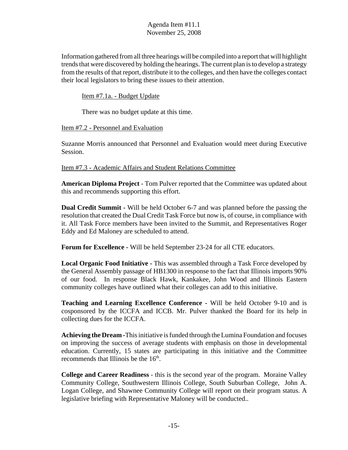Information gathered from all three hearings will be compiled into a report that will highlight trends that were discovered by holding the hearings. The current plan is to develop a strategy from the results of that report, distribute it to the colleges, and then have the colleges contact their local legislators to bring these issues to their attention.

Item #7.1a. - Budget Update

There was no budget update at this time.

Item #7.2 - Personnel and Evaluation

Suzanne Morris announced that Personnel and Evaluation would meet during Executive Session.

Item #7.3 - Academic Affairs and Student Relations Committee

**American Diploma Project** - Tom Pulver reported that the Committee was updated about this and recommends supporting this effort.

**Dual Credit Summit -** Will be held October 6-7 and was planned before the passing the resolution that created the Dual Credit Task Force but now is, of course, in compliance with it. All Task Force members have been invited to the Summit, and Representatives Roger Eddy and Ed Maloney are scheduled to attend.

**Forum for Excellence -** Will be held September 23-24 for all CTE educators.

**Local Organic Food Initiative -** This was assembled through a Task Force developed by the General Assembly passage of HB1300 in response to the fact that Illinois imports 90% of our food. In response Black Hawk, Kankakee, John Wood and Illinois Eastern community colleges have outlined what their colleges can add to this initiative.

**Teaching and Learning Excellence Conference -** Will be held October 9-10 and is cosponsored by the ICCFA and ICCB. Mr. Pulver thanked the Board for its help in collecting dues for the ICCFA.

**Achieving the Dream -**This initiative is funded through the Lumina Foundation and focuses on improving the success of average students with emphasis on those in developmental education. Currently, 15 states are participating in this initiative and the Committee recommends that Illinois be the  $16<sup>th</sup>$ .

**College and Career Readiness** - this is the second year of the program. Moraine Valley Community College, Southwestern Illinois College, South Suburban College, John A. Logan College, and Shawnee Community College will report on their program status. A legislative briefing with Representative Maloney will be conducted..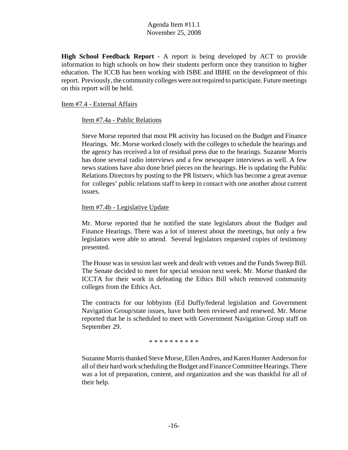**High School Feedback Report** - A report is being developed by ACT to provide information to high schools on how their students perform once they transition to higher education. The ICCB has been working with ISBE and IBHE on the development of this report. Previously, the community colleges were not required to participate. Future meetings on this report will be held.

# Item #7.4 - External Affairs

# Item #7.4a - Public Relations

Steve Morse reported that most PR activity has focused on the Budget and Finance Hearings. Mr. Morse worked closely with the colleges to schedule the hearings and the agency has received a lot of residual press due to the hearings. Suzanne Morris has done several radio interviews and a few newspaper interviews as well. A few news stations have also done brief pieces on the hearings. He is updating the Public Relations Directors by posting to the PR listserv, which has become a great avenue for colleges' public relations staff to keep in contact with one another about current issues.

# Item #7.4b - Legislative Update

Mr. Morse reported that he notified the state legislators about the Budget and Finance Hearings. There was a lot of interest about the meetings, but only a few legislators were able to attend. Several legislators requested copies of testimony presented.

The House was in session last week and dealt with vetoes and the Funds Sweep Bill. The Senate decided to meet for special session next week. Mr. Morse thanked the ICCTA for their work in defeating the Ethics Bill which removed community colleges from the Ethics Act.

The contracts for our lobbyists (Ed Duffy/federal legislation and Government Navigation Group/state issues, have both been reviewed and renewed. Mr. Morse reported that he is scheduled to meet with Government Navigation Group staff on September 29.

\* \* \* \* \* \* \* \* \* \*

Suzanne Morris thanked Steve Morse, Ellen Andres, and Karen Hunter Anderson for all of their hard work scheduling the Budget and Finance Committee Hearings. There was a lot of preparation, content, and organization and she was thankful for all of their help.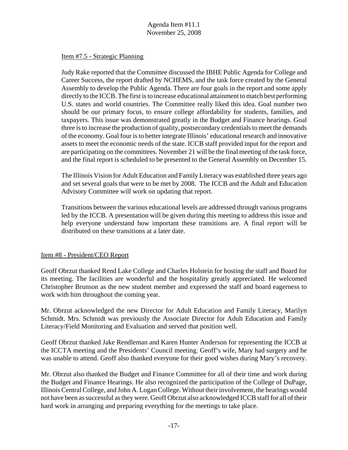# Item #7.5 - Strategic Planning

Judy Rake reported that the Committee discussed the IBHE Public Agenda for College and Career Success, the report drafted by NCHEMS, and the task force created by the General Assembly to develop the Public Agenda. There are four goals in the report and some apply directly to the ICCB. The first is to increase educational attainment to match best performing U.S. states and world countries. The Committee really liked this idea. Goal number two should be our primary focus, to ensure college affordability for students, families, and taxpayers. This issue was demonstrated greatly in the Budget and Finance hearings. Goal three is to increase the production of quality, postsecondary credentials to meet the demands of the economy. Goal four is to better integrate Illinois' educational research and innovative assets to meet the economic needs of the state. ICCB staff provided input for the report and are participating on the committees. November 21 will be the final meeting of the task force, and the final report is scheduled to be presented to the General Assembly on December 15.

The Illinois Vision for Adult Education and Family Literacy was established three years ago and set several goals that were to be met by 2008. The ICCB and the Adult and Education Advisory Committee will work on updating that report.

Transitions between the various educational levels are addressed through various programs led by the ICCB. A presentation will be given during this meeting to address this issue and help everyone understand how important these transitions are. A final report will be distributed on these transitions at a later date.

# Item #8 - President/CEO Report

Geoff Obrzut thanked Rend Lake College and Charles Holstein for hosting the staff and Board for its meeting. The facilities are wonderful and the hospitality greatly appreciated. He welcomed Christopher Brunson as the new student member and expressed the staff and board eagerness to work with him throughout the coming year.

Mr. Obrzut acknowledged the new Director for Adult Education and Family Literacy, Marilyn Schmidt. Mrs. Schmidt was previously the Associate Director for Adult Education and Family Literacy/Field Monitoring and Evaluation and served that position well.

Geoff Obrzut thanked Jake Rendleman and Karen Hunter Anderson for representing the ICCB at the ICCTA meeting and the Presidents' Council meeting. Geoff's wife, Mary had surgery and he was unable to attend. Geoff also thanked everyone for their good wishes during Mary's recovery.

Mr. Obrzut also thanked the Budget and Finance Committee for all of their time and work during the Budget and Finance Hearings. He also recognized the participation of the College of DuPage, Illinois Central College, and John A. Logan College. Without their involvement, the hearings would not have been as successful as they were. Geoff Obrzut also acknowledged ICCB staff for all of their hard work in arranging and preparing everything for the meetings to take place.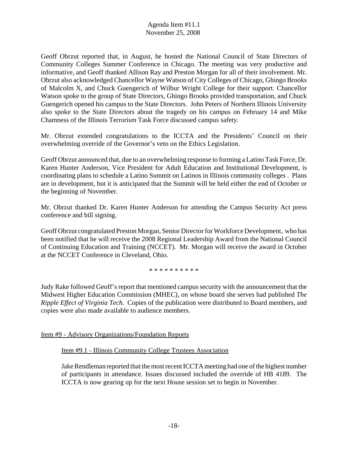Geoff Obrzut reported that, in August, he hosted the National Council of State Directors of Community Colleges Summer Conference in Chicago. The meeting was very productive and informative, and Geoff thanked Allison Ray and Preston Morgan for all of their involvement. Mr. Obrzut also acknowledged Chancellor Wayne Watson of City Colleges of Chicago, Ghingo Brooks of Malcolm X, and Chuck Guengerich of Wilbur Wright College for their support. Chancellor Watson spoke to the group of State Directors, Ghingo Brooks provided transportation, and Chuck Guengerich opened his campus to the State Directors. John Peters of Northern Illinois University also spoke to the State Directors about the tragedy on his campus on February 14 and Mike Chamness of the Illinois Terrorism Task Force discussed campus safety.

Mr. Obrzut extended congratulations to the ICCTA and the Presidents' Council on their overwhelming override of the Governor's veto on the Ethics Legislation.

Geoff Obrzut announced that, due to an overwhelming response to forming a Latino Task Force, Dr. Karen Hunter Anderson, Vice President for Adult Education and Institutional Development, is coordinating plans to schedule a Latino Summit on Latinos in Illinois community colleges . Plans are in development, but it is anticipated that the Summit will be held either the end of October or the beginning of November.

Mr. Obrzut thanked Dr. Karen Hunter Anderson for attending the Campus Security Act press conference and bill signing.

Geoff Obrzut congratulated Preston Morgan, Senior Director for Workforce Development, who has been notified that he will receive the 2008 Regional Leadership Award from the National Council of Continuing Education and Training (NCCET). Mr. Morgan will receive the award in October at the NCCET Conference in Cleveland, Ohio.

\* \* \* \* \* \* \* \* \* \*

Judy Rake followed Geoff's report that mentioned campus security with the announcement that the Midwest Higher Education Commission (MHEC), on whose board she serves had published *The Ripple Effect of Virginia Tech.* Copies of the publication were distributed to Board members, and copies were also made available to audience members.

Item #9 - Advisory Organizations/Foundation Reports

Item #9.1 - Illinois Community College Trustees Association

Jake Rendleman reported that the most recent ICCTA meeting had one of the highest number of participants in attendance. Issues discussed included the override of HB 4189. The ICCTA is now gearing up for the next House session set to begin in November.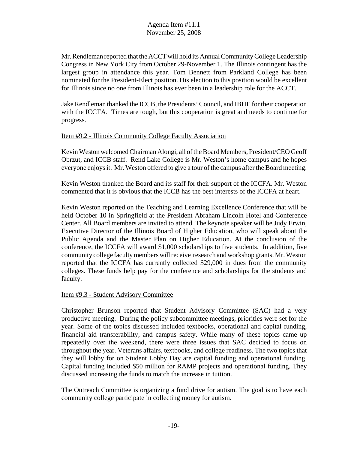Mr. Rendleman reported that the ACCT will hold its Annual Community College Leadership Congress in New York City from October 29-November 1. The Illinois contingent has the largest group in attendance this year. Tom Bennett from Parkland College has been nominated for the President-Elect position. His election to this position would be excellent for Illinois since no one from Illinois has ever been in a leadership role for the ACCT.

Jake Rendleman thanked the ICCB, the Presidents' Council, and IBHE for their cooperation with the ICCTA. Times are tough, but this cooperation is great and needs to continue for progress.

# Item #9.2 - Illinois Community College Faculty Association

Kevin Weston welcomed Chairman Alongi, all of the Board Members, President/CEO Geoff Obrzut, and ICCB staff. Rend Lake College is Mr. Weston's home campus and he hopes everyone enjoys it. Mr. Weston offered to give a tour of the campus after the Board meeting.

Kevin Weston thanked the Board and its staff for their support of the ICCFA. Mr. Weston commented that it is obvious that the ICCB has the best interests of the ICCFA at heart.

Kevin Weston reported on the Teaching and Learning Excellence Conference that will be held October 10 in Springfield at the President Abraham Lincoln Hotel and Conference Center. All Board members are invited to attend. The keynote speaker will be Judy Erwin, Executive Director of the Illinois Board of Higher Education, who will speak about the Public Agenda and the Master Plan on Higher Education. At the conclusion of the conference, the ICCFA will award \$1,000 scholarships to five students. In addition, five community college faculty members will receive research and workshop grants. Mr. Weston reported that the ICCFA has currently collected \$29,000 in dues from the community colleges. These funds help pay for the conference and scholarships for the students and faculty.

#### Item #9.3 - Student Advisory Committee

Christopher Brunson reported that Student Advisory Committee (SAC) had a very productive meeting. During the policy subcommittee meetings, priorities were set for the year. Some of the topics discussed included textbooks, operational and capital funding, financial aid transferability, and campus safety. While many of these topics came up repeatedly over the weekend, there were three issues that SAC decided to focus on throughout the year. Veterans affairs, textbooks, and college readiness. The two topics that they will lobby for on Student Lobby Day are capital funding and operational funding. Capital funding included \$50 million for RAMP projects and operational funding. They discussed increasing the funds to match the increase in tuition.

The Outreach Committee is organizing a fund drive for autism. The goal is to have each community college participate in collecting money for autism.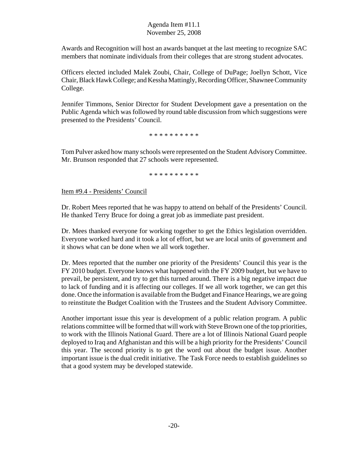Awards and Recognition will host an awards banquet at the last meeting to recognize SAC members that nominate individuals from their colleges that are strong student advocates.

Officers elected included Malek Zoubi, Chair, College of DuPage; Joellyn Schott, Vice Chair, Black Hawk College; and Kessha Mattingly, Recording Officer, Shawnee Community College.

Jennifer Timmons, Senior Director for Student Development gave a presentation on the Public Agenda which was followed by round table discussion from which suggestions were presented to the Presidents' Council.

\* \* \* \* \* \* \* \* \* \*

Tom Pulver asked how many schools were represented on the Student Advisory Committee. Mr. Brunson responded that 27 schools were represented.

\* \* \* \* \* \* \* \* \* \*

Item #9.4 - Presidents' Council

Dr. Robert Mees reported that he was happy to attend on behalf of the Presidents' Council. He thanked Terry Bruce for doing a great job as immediate past president.

Dr. Mees thanked everyone for working together to get the Ethics legislation overridden. Everyone worked hard and it took a lot of effort, but we are local units of government and it shows what can be done when we all work together.

Dr. Mees reported that the number one priority of the Presidents' Council this year is the FY 2010 budget. Everyone knows what happened with the FY 2009 budget, but we have to prevail, be persistent, and try to get this turned around. There is a big negative impact due to lack of funding and it is affecting our colleges. If we all work together, we can get this done. Once the information is available from the Budget and Finance Hearings, we are going to reinstitute the Budget Coalition with the Trustees and the Student Advisory Committee.

Another important issue this year is development of a public relation program. A public relations committee will be formed that will work with Steve Brown one of the top priorities, to work with the Illinois National Guard. There are a lot of Illinois National Guard people deployed to Iraq and Afghanistan and this will be a high priority for the Presidents' Council this year. The second priority is to get the word out about the budget issue. Another important issue is the dual credit initiative. The Task Force needs to establish guidelines so that a good system may be developed statewide.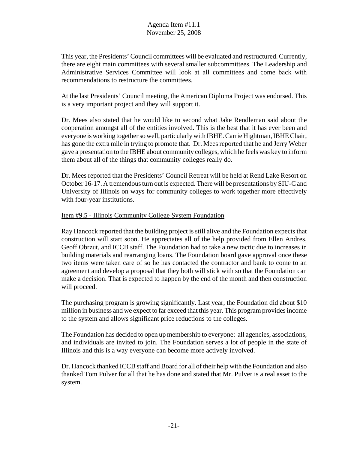This year, the Presidents' Council committees will be evaluated and restructured. Currently, there are eight main committees with several smaller subcommittees. The Leadership and Administrative Services Committee will look at all committees and come back with recommendations to restructure the committees.

At the last Presidents' Council meeting, the American Diploma Project was endorsed. This is a very important project and they will support it.

Dr. Mees also stated that he would like to second what Jake Rendleman said about the cooperation amongst all of the entities involved. This is the best that it has ever been and everyone is working together so well, particularly with IBHE. Carrie Hightman, IBHE Chair, has gone the extra mile in trying to promote that. Dr. Mees reported that he and Jerry Weber gave a presentation to the IBHE about community colleges, which he feels was key to inform them about all of the things that community colleges really do.

Dr. Mees reported that the Presidents' Council Retreat will be held at Rend Lake Resort on October 16-17. A tremendous turn out is expected. There will be presentations by SIU-C and University of Illinois on ways for community colleges to work together more effectively with four-year institutions.

# Item #9.5 - Illinois Community College System Foundation

Ray Hancock reported that the building project is still alive and the Foundation expects that construction will start soon. He appreciates all of the help provided from Ellen Andres, Geoff Obrzut, and ICCB staff. The Foundation had to take a new tactic due to increases in building materials and rearranging loans. The Foundation board gave approval once these two items were taken care of so he has contacted the contractor and bank to come to an agreement and develop a proposal that they both will stick with so that the Foundation can make a decision. That is expected to happen by the end of the month and then construction will proceed.

The purchasing program is growing significantly. Last year, the Foundation did about \$10 million in business and we expect to far exceed that this year. This program provides income to the system and allows significant price reductions to the colleges.

The Foundation has decided to open up membership to everyone: all agencies, associations, and individuals are invited to join. The Foundation serves a lot of people in the state of Illinois and this is a way everyone can become more actively involved.

Dr. Hancock thanked ICCB staff and Board for all of their help with the Foundation and also thanked Tom Pulver for all that he has done and stated that Mr. Pulver is a real asset to the system.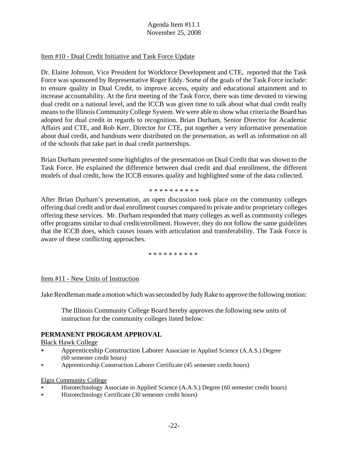# Item #10 - Dual Credit Initiative and Task Force Update

Dr. Elaine Johnson, Vice President for Workforce Development and CTE, reported that the Task Force was sponsored by Representative Roger Eddy. Some of the goals of the Task Force include: to ensure quality in Dual Credit, to improve access, equity and educational attainment and to increase accountability. At the first meeting of the Task Force, there was time devoted to viewing dual credit on a national level, and the ICCB was given time to talk about what dual credit really means to the Illinois Community College System. We were able to show what criteria the Board has adopted for dual credit in regards to recognition. Brian Durham, Senior Director for Academic Affairs and CTE, and Rob Kerr, Director for CTE, put together a very informative presentation about dual credit, and handouts were distributed on the presentation, as well as information on all of the schools that take part in dual credit partnerships.

Brian Durham presented some highlights of the presentation on Dual Credit that was shown to the Task Force. He explained the difference between dual credit and dual enrollment, the different models of dual credit, how the ICCB ensures quality and highlighted some of the data collected.

#### \* \* \* \* \* \* \* \* \* \*

After Brian Durham's presentation, an open discussion took place on the community colleges offering dual credit and/or dual enrollment courses compared to private and/or proprietary colleges offering these services. Mr. Durham responded that many colleges as well as community colleges offer programs similar to dual credit/enrollment. However, they do not follow the same guidelines that the ICCB does, which causes issues with articulation and transferability. The Task Force is aware of these conflicting approaches.

#### \* \* \* \* \* \* \* \* \* \*

#### Item #11 - New Units of Instruction

Jake Rendleman made a motion which was seconded by Judy Rake to approve the following motion:

The Illinois Community College Board hereby approves the following new units of instruction for the community colleges listed below:

#### **PERMANENT PROGRAM APPROVAL**

#### Black Hawk College

- < Apprenticeship Construction Laborer Associate in Applied Science (A.A.S.) Degree (60 semester credit hours)
- < Apprenticeship Construction Laborer Certificate (45 semester credit hours)

#### Elgin Community College

- < Histotechnology Associate in Applied Science (A.A.S.) Degree (60 semester credit hours)
- < Histotechnology Certificate (30 semester credit hours)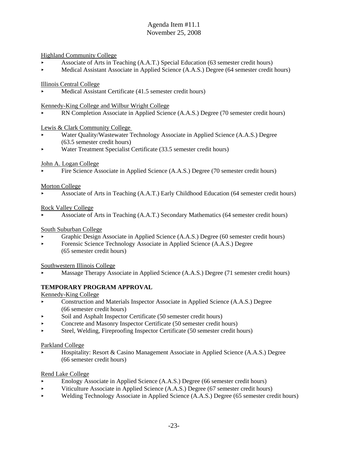#### Highland Community College

- < Associate of Arts in Teaching (A.A.T.) Special Education (63 semester credit hours)
- ▶ <i>Medical Assistant Association of Applied Science (A.A.S.)</i> <i>Degree (64 semester credit hours)</i>

#### Illinois Central College

Medical Assistant Certificate (41.5 semester credit hours)

#### Kennedy-King College and Wilbur Wright College

RN Completion Associate in Applied Science (A.A.S.) Degree (70 semester credit hours)

#### Lewis & Clark Community College

- Water Quality/Wastewater Technology Associate in Applied Science (A.A.S.) Degree (63.5 semester credit hours)
- < Water Treatment Specialist Certificate (33.5 semester credit hours)

#### John A. Logan College

< Fire Science Associate in Applied Science (A.A.S.) Degree (70 semester credit hours)

#### Morton College

< Associate of Arts in Teaching (A.A.T.) Early Childhood Education (64 semester credit hours)

#### Rock Valley College

< Associate of Arts in Teaching (A.A.T.) Secondary Mathematics (64 semester credit hours)

#### South Suburban College

- < Graphic Design Associate in Applied Science (A.A.S.) Degree (60 semester credit hours)
- Forensic Science Technology Associate in Applied Science (A.A.S.) Degree (65 semester credit hours)

#### Southwestern Illinois College

< Massage Therapy Associate in Applied Science (A.A.S.) Degree (71 semester credit hours)

#### **TEMPORARY PROGRAM APPROVAL**

#### Kennedy-King College

- **Exercise 3** Construction and Materials Inspector Associate in Applied Science (A.A.S.) Degree (66 semester credit hours)
- < Soil and Asphalt Inspector Certificate (50 semester credit hours)
- Concrete and Masonry Inspector Certificate (50 semester credit hours)
- < Steel, Welding, Fireproofing Inspector Certificate (50 semester credit hours)

#### Parkland College

Hospitality: Resort & Casino Management Associate in Applied Science (A.A.S.) Degree (66 semester credit hours)

#### Rend Lake College

- Enology Associate in Applied Science (A.A.S.) Degree (66 semester credit hours)
- < Viticulture Associate in Applied Science (A.A.S.) Degree (67 semester credit hours)
- < Welding Technology Associate in Applied Science (A.A.S.) Degree (65 semester credit hours)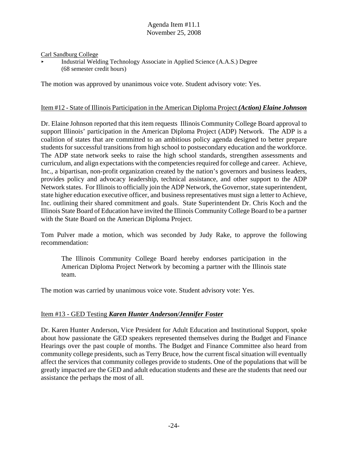#### Carl Sandburg College

Industrial Welding Technology Associate in Applied Science (A.A.S.) Degree (68 semester credit hours)

The motion was approved by unanimous voice vote. Student advisory vote: Yes.

#### Item #12 - State of Illinois Participation in the American Diploma Project *(Action) Elaine Johnson*

Dr. Elaine Johnson reported that this item requests Illinois Community College Board approval to support Illinois' participation in the American Diploma Project (ADP) Network. The ADP is a coalition of states that are committed to an ambitious policy agenda designed to better prepare students for successful transitions from high school to postsecondary education and the workforce. The ADP state network seeks to raise the high school standards, strengthen assessments and curriculum, and align expectations with the competencies required for college and career. Achieve, Inc., a bipartisan, non-profit organization created by the nation's governors and business leaders, provides policy and advocacy leadership, technical assistance, and other support to the ADP Network states. For Illinois to officially join the ADP Network, the Governor, state superintendent, state higher education executive officer, and business representatives must sign a letter to Achieve, Inc. outlining their shared commitment and goals. State Superintendent Dr. Chris Koch and the Illinois State Board of Education have invited the Illinois Community College Board to be a partner with the State Board on the American Diploma Project.

Tom Pulver made a motion, which was seconded by Judy Rake, to approve the following recommendation:

The Illinois Community College Board hereby endorses participation in the American Diploma Project Network by becoming a partner with the Illinois state team.

The motion was carried by unanimous voice vote. Student advisory vote: Yes.

# Item #13 - GED Testing *Karen Hunter Anderson/Jennifer Foster*

Dr. Karen Hunter Anderson, Vice President for Adult Education and Institutional Support, spoke about how passionate the GED speakers represented themselves during the Budget and Finance Hearings over the past couple of months. The Budget and Finance Committee also heard from community college presidents, such as Terry Bruce, how the current fiscal situation will eventually affect the services that community colleges provide to students. One of the populations that will be greatly impacted are the GED and adult education students and these are the students that need our assistance the perhaps the most of all.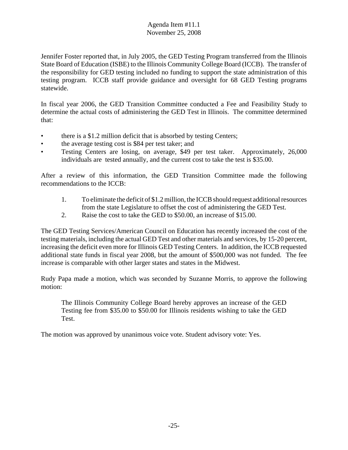Jennifer Foster reported that, in July 2005, the GED Testing Program transferred from the Illinois State Board of Education (ISBE) to the Illinois Community College Board (ICCB). The transfer of the responsibility for GED testing included no funding to support the state administration of this testing program. ICCB staff provide guidance and oversight for 68 GED Testing programs statewide.

In fiscal year 2006, the GED Transition Committee conducted a Fee and Feasibility Study to determine the actual costs of administering the GED Test in Illinois. The committee determined that:

- there is a \$1.2 million deficit that is absorbed by testing Centers;
- the average testing cost is \$84 per test taker; and
- Testing Centers are losing, on average, \$49 per test taker. Approximately, 26,000 individuals are tested annually, and the current cost to take the test is \$35.00.

After a review of this information, the GED Transition Committee made the following recommendations to the ICCB:

- 1. To eliminate the deficit of \$1.2 million, the ICCB should request additional resources from the state Legislature to offset the cost of administering the GED Test.
- 2. Raise the cost to take the GED to \$50.00, an increase of \$15.00.

The GED Testing Services/American Council on Education has recently increased the cost of the testing materials, including the actual GED Test and other materials and services, by 15-20 percent, increasing the deficit even more for Illinois GED Testing Centers. In addition, the ICCB requested additional state funds in fiscal year 2008, but the amount of \$500,000 was not funded. The fee increase is comparable with other larger states and states in the Midwest.

Rudy Papa made a motion, which was seconded by Suzanne Morris, to approve the following motion:

The Illinois Community College Board hereby approves an increase of the GED Testing fee from \$35.00 to \$50.00 for Illinois residents wishing to take the GED Test.

The motion was approved by unanimous voice vote. Student advisory vote: Yes.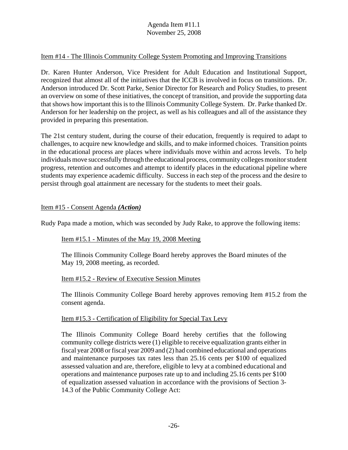# Item #14 - The Illinois Community College System Promoting and Improving Transitions

Dr. Karen Hunter Anderson, Vice President for Adult Education and Institutional Support, recognized that almost all of the initiatives that the ICCB is involved in focus on transitions. Dr. Anderson introduced Dr. Scott Parke, Senior Director for Research and Policy Studies, to present an overview on some of these initiatives, the concept of transition, and provide the supporting data that shows how important this is to the Illinois Community College System. Dr. Parke thanked Dr. Anderson for her leadership on the project, as well as his colleagues and all of the assistance they provided in preparing this presentation.

The 21st century student, during the course of their education, frequently is required to adapt to challenges, to acquire new knowledge and skills, and to make informed choices. Transition points in the educational process are places where individuals move within and across levels. To help individuals move successfully through the educational process, community colleges monitor student progress, retention and outcomes and attempt to identify places in the educational pipeline where students may experience academic difficulty. Success in each step of the process and the desire to persist through goal attainment are necessary for the students to meet their goals.

#### Item #15 - Consent Agenda *(Action)*

Rudy Papa made a motion, which was seconded by Judy Rake, to approve the following items:

#### Item #15.1 - Minutes of the May 19, 2008 Meeting

The Illinois Community College Board hereby approves the Board minutes of the May 19, 2008 meeting, as recorded.

#### Item #15.2 - Review of Executive Session Minutes

The Illinois Community College Board hereby approves removing Item #15.2 from the consent agenda.

#### Item #15.3 - Certification of Eligibility for Special Tax Levy

The Illinois Community College Board hereby certifies that the following community college districts were (1) eligible to receive equalization grants either in fiscal year 2008 or fiscal year 2009 and (2) had combined educational and operations and maintenance purposes tax rates less than 25.16 cents per \$100 of equalized assessed valuation and are, therefore, eligible to levy at a combined educational and operations and maintenance purposes rate up to and including 25.16 cents per \$100 of equalization assessed valuation in accordance with the provisions of Section 3- 14.3 of the Public Community College Act: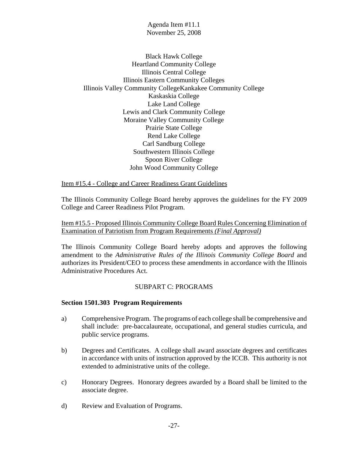Black Hawk College Heartland Community College Illinois Central College Illinois Eastern Community Colleges Illinois Valley Community CollegeKankakee Community College Kaskaskia College Lake Land College Lewis and Clark Community College Moraine Valley Community College Prairie State College Rend Lake College Carl Sandburg College Southwestern Illinois College Spoon River College John Wood Community College

Item #15.4 - College and Career Readiness Grant Guidelines

The Illinois Community College Board hereby approves the guidelines for the FY 2009 College and Career Readiness Pilot Program.

Item #15.5 - Proposed Illinois Community College Board Rules Concerning Elimination of Examination of Patriotism from Program Requirements *(Final Approval)*

The Illinois Community College Board hereby adopts and approves the following amendment to the *Administrative Rules of the Illinois Community College Board* and authorizes its President/CEO to process these amendments in accordance with the Illinois Administrative Procedures Act.

#### SUBPART C: PROGRAMS

#### **Section 1501.303 Program Requirements**

- a) Comprehensive Program. The programs of each college shall be comprehensive and shall include: pre-baccalaureate, occupational, and general studies curricula, and public service programs.
- b) Degrees and Certificates. A college shall award associate degrees and certificates in accordance with units of instruction approved by the ICCB. This authority is not extended to administrative units of the college.
- c) Honorary Degrees. Honorary degrees awarded by a Board shall be limited to the associate degree.
- d) Review and Evaluation of Programs.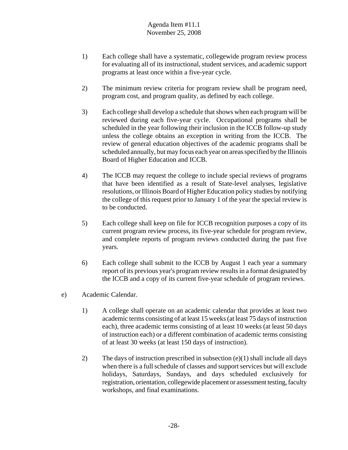- 1) Each college shall have a systematic, collegewide program review process for evaluating all of its instructional, student services, and academic support programs at least once within a five-year cycle.
- 2) The minimum review criteria for program review shall be program need, program cost, and program quality, as defined by each college.
- 3) Each college shall develop a schedule that shows when each program will be reviewed during each five-year cycle. Occupational programs shall be scheduled in the year following their inclusion in the ICCB follow-up study unless the college obtains an exception in writing from the ICCB. The review of general education objectives of the academic programs shall be scheduled annually, but may focus each year on areas specified by the Illinois Board of Higher Education and ICCB.
- 4) The ICCB may request the college to include special reviews of programs that have been identified as a result of State-level analyses, legislative resolutions, or Illinois Board of Higher Education policy studies by notifying the college of this request prior to January 1 of the year the special review is to be conducted.
- 5) Each college shall keep on file for ICCB recognition purposes a copy of its current program review process, its five-year schedule for program review, and complete reports of program reviews conducted during the past five years.
- 6) Each college shall submit to the ICCB by August 1 each year a summary report of its previous year's program review results in a format designated by the ICCB and a copy of its current five-year schedule of program reviews.
- e) Academic Calendar.
	- 1) A college shall operate on an academic calendar that provides at least two academic terms consisting of at least 15 weeks (at least 75 days of instruction each), three academic terms consisting of at least 10 weeks (at least 50 days of instruction each) or a different combination of academic terms consisting of at least 30 weeks (at least 150 days of instruction).
	- 2) The days of instruction prescribed in subsection (e)(1) shall include all days when there is a full schedule of classes and support services but will exclude holidays, Saturdays, Sundays, and days scheduled exclusively for registration, orientation, collegewide placement or assessment testing, faculty workshops, and final examinations.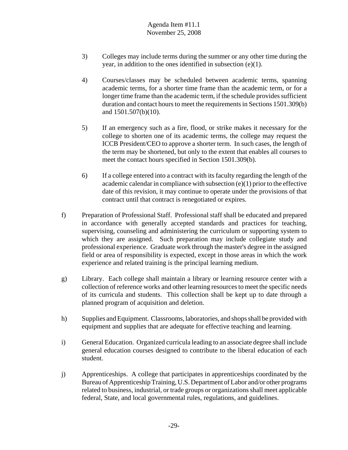- 3) Colleges may include terms during the summer or any other time during the year, in addition to the ones identified in subsection (e)(1).
- 4) Courses/classes may be scheduled between academic terms, spanning academic terms, for a shorter time frame than the academic term, or for a longer time frame than the academic term, if the schedule provides sufficient duration and contact hours to meet the requirements in Sections 1501.309(b) and 1501.507(b)(10).
- 5) If an emergency such as a fire, flood, or strike makes it necessary for the college to shorten one of its academic terms, the college may request the ICCB President/CEO to approve a shorter term. In such cases, the length of the term may be shortened, but only to the extent that enables all courses to meet the contact hours specified in Section 1501.309(b).
- 6) If a college entered into a contract with its faculty regarding the length of the academic calendar in compliance with subsection (e)(1) prior to the effective date of this revision, it may continue to operate under the provisions of that contract until that contract is renegotiated or expires.
- f) Preparation of Professional Staff. Professional staff shall be educated and prepared in accordance with generally accepted standards and practices for teaching, supervising, counseling and administering the curriculum or supporting system to which they are assigned. Such preparation may include collegiate study and professional experience. Graduate work through the master's degree in the assigned field or area of responsibility is expected, except in those areas in which the work experience and related training is the principal learning medium.
- g) Library. Each college shall maintain a library or learning resource center with a collection of reference works and other learning resources to meet the specific needs of its curricula and students. This collection shall be kept up to date through a planned program of acquisition and deletion.
- h) Supplies and Equipment. Classrooms, laboratories, and shops shall be provided with equipment and supplies that are adequate for effective teaching and learning.
- i) General Education. Organized curricula leading to an associate degree shall include general education courses designed to contribute to the liberal education of each student.
- j) Apprenticeships. A college that participates in apprenticeships coordinated by the Bureau of Apprenticeship Training, U.S. Department of Labor and/or other programs related to business, industrial, or trade groups or organizations shall meet applicable federal, State, and local governmental rules, regulations, and guidelines.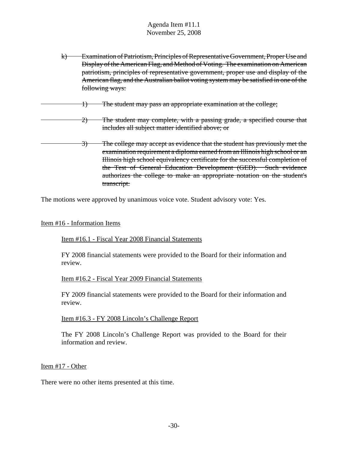- k) Examination of Patriotism, Principles of Representative Government, Proper Use and Display of the American Flag, and Method of Voting. The examination on American patriotism, principles of representative government, proper use and display of the American flag, and the Australian ballot voting system may be satisfied in one of the following ways:
- 1) The student may pass an appropriate examination at the college;
	- 2) The student may complete, with a passing grade, a specified course that includes all subject matter identified above; or
- 3) The college may accept as evidence that the student has previously met the examination requirement a diploma earned from an Illinois high school or an Illinois high school equivalency certificate for the successful completion of the Test of General Education Development (GED). Such evidence authorizes the college to make an appropriate notation on the student's transcript.

The motions were approved by unanimous voice vote. Student advisory vote: Yes.

#### Item #16 - Information Items

#### Item #16.1 - Fiscal Year 2008 Financial Statements

FY 2008 financial statements were provided to the Board for their information and review.

#### Item #16.2 - Fiscal Year 2009 Financial Statements

FY 2009 financial statements were provided to the Board for their information and review.

#### Item #16.3 - FY 2008 Lincoln's Challenge Report

The FY 2008 Lincoln's Challenge Report was provided to the Board for their information and review.

#### Item #17 - Other

There were no other items presented at this time.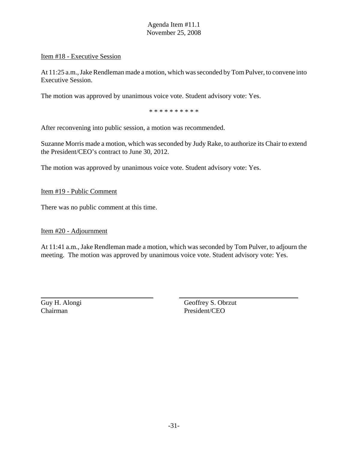#### Item #18 - Executive Session

At 11:25 a.m., Jake Rendleman made a motion, which was seconded by Tom Pulver, to convene into Executive Session.

The motion was approved by unanimous voice vote. Student advisory vote: Yes.

\* \* \* \* \* \* \* \* \* \*

After reconvening into public session, a motion was recommended.

Suzanne Morris made a motion, which was seconded by Judy Rake, to authorize its Chair to extend the President/CEO's contract to June 30, 2012.

The motion was approved by unanimous voice vote. Student advisory vote: Yes.

Item #19 - Public Comment

There was no public comment at this time.

#### Item #20 - Adjournment

At 11:41 a.m., Jake Rendleman made a motion, which was seconded by Tom Pulver, to adjourn the meeting. The motion was approved by unanimous voice vote. Student advisory vote: Yes.

Chairman President/CEO

Guy H. Alongi Geoffrey S. Obrzut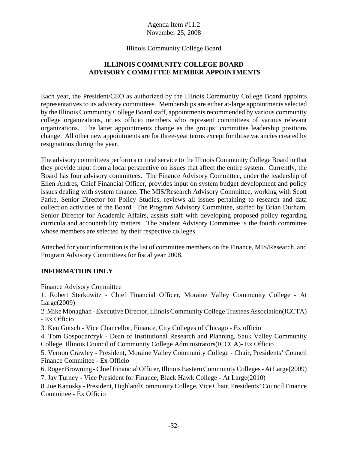# Illinois Community College Board

# **ILLINOIS COMMUNITY COLLEGE BOARD ADVISORY COMMITTEE MEMBER APPOINTMENTS**

Each year, the President/CEO as authorized by the Illinois Community College Board appoints representatives to its advisory committees. Memberships are either at-large appointments selected by the Illinois Community College Board staff, appointments recommended by various community college organizations, or ex officio members who represent committees of various relevant organizations. The latter appointments change as the groups' committee leadership positions change. All other new appointments are for three-year terms except for those vacancies created by resignations during the year.

The advisory committees perform a critical service to the Illinois Community College Board in that they provide input from a local perspective on issues that affect the entire system. Currently, the Board has four advisory committees. The Finance Advisory Committee, under the leadership of Ellen Andres, Chief Financial Officer, provides input on system budget development and policy issues dealing with system finance. The MIS/Research Advisory Committee, working with Scott Parke, Senior Director for Policy Studies, reviews all issues pertaining to research and data collection activities of the Board. The Program Advisory Committee, staffed by Brian Durham, Senior Director for Academic Affairs, assists staff with developing proposed policy regarding curricula and accountability matters. The Student Advisory Committee is the fourth committee whose members are selected by their respective colleges.

Attached for your information is the list of committee members on the Finance, MIS/Research, and Program Advisory Committees for fiscal year 2008.

# **INFORMATION ONLY**

Finance Advisory Committee

1. Robert Sterkowitz - Chief Financial Officer, Moraine Valley Community College - At Large(2009)

2. Mike Monaghan - Executive Director, Illinois Community College Trustees Association(ICCTA) - Ex Officio

3. Ken Gotsch - Vice Chancellor, Finance, City Colleges of Chicago - Ex officio

4. Tom Gospodarczyk - Dean of Institutional Research and Planning, Sauk Valley Community College, Illinois Council of Community College Administrators(ICCCA)- Ex Officio

5. Vernon Crawley - President, Moraine Valley Community College - Chair, Presidents' Council Finance Committee - Ex Officio

6. Roger Browning - Chief Financial Officer, Illinois Eastern Community Colleges - At Large(2009)

7. Jay Turney - Vice President for Finance, Black Hawk College - At Large(2010)

8. Joe Kanosky - President, Highland Community College, Vice Chair, Presidents' Council Finance Committee - Ex Officio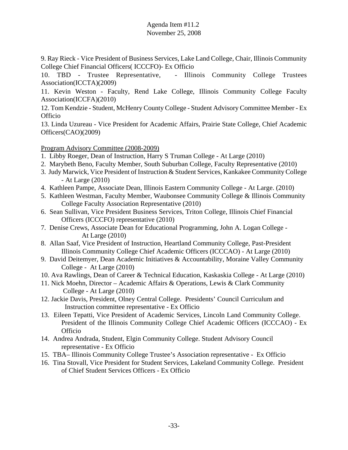9. Ray Rieck - Vice President of Business Services, Lake Land College, Chair, Illinois Community College Chief Financial Officers( ICCCFO)- Ex Officio

10. TBD - Trustee Representative, - Illinois Community College Trustees Association(ICCTA)(2009)

11. Kevin Weston - Faculty, Rend Lake College, Illinois Community College Faculty Association(ICCFA)(2010)

12. Tom Kendzie - Student, McHenry County College - Student Advisory Committee Member - Ex **Officio** 

13. Linda Uzureau - Vice President for Academic Affairs, Prairie State College, Chief Academic Officers(CAO)(2009)

Program Advisory Committee (2008-2009)

- 1. Libby Roeger, Dean of Instruction, Harry S Truman College At Large (2010)
- 2. Marybeth Beno, Faculty Member, South Suburban College, Faculty Representative (2010)
- 3. Judy Marwick, Vice President of Instruction & Student Services, Kankakee Community College - At Large (2010)
- 4. Kathleen Pampe, Associate Dean, Illinois Eastern Community College At Large. (2010)
- 5. Kathleen Westman, Faculty Member, Waubonsee Community College & Illinois Community College Faculty Association Representative (2010)
- 6. Sean Sullivan, Vice President Business Services, Triton College, Illinois Chief Financial Officers (ICCCFO) representative (2010)
- 7. Denise Crews, Associate Dean for Educational Programming, John A. Logan College At Large (2010)
- 8. Allan Saaf, Vice President of Instruction, Heartland Community College, Past-President Illinois Community College Chief Academic Officers (ICCCAO) - At Large (2010)
- 9. David Deitemyer, Dean Academic Initiatives & Accountability, Moraine Valley Community College - At Large (2010)
- 10. Ava Rawlings, Dean of Career & Technical Education, Kaskaskia College At Large (2010)
- 11. Nick Moehn, Director Academic Affairs & Operations, Lewis & Clark Community College - At Large (2010)
- 12. Jackie Davis, President, Olney Central College. Presidents' Council Curriculum and Instruction committee representative - Ex Officio
- 13. Eileen Tepatti, Vice President of Academic Services, Lincoln Land Community College. President of the Illinois Community College Chief Academic Officers (ICCCAO) - Ex Officio
- 14. Andrea Andrada, Student, Elgin Community College. Student Advisory Council representative - Ex Officio
- 15. TBA– Illinois Community College Trustee's Association representative Ex Officio
- 16. Tina Stovall, Vice President for Student Services, Lakeland Community College. President of Chief Student Services Officers - Ex Officio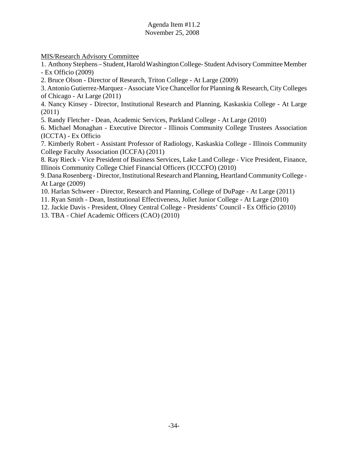MIS/Research Advisory Committee

1. Anthony Stephens – Student, Harold Washington College- Student Advisory Committee Member - Ex Officio (2009)

2. Bruce Olson - Director of Research, Triton College - At Large (2009)

3. Antonio Gutierrez-Marquez - Associate Vice Chancellor for Planning & Research, City Colleges of Chicago - At Large (2011)

4. Nancy Kinsey - Director, Institutional Research and Planning, Kaskaskia College - At Large (2011)

5. Randy Fletcher - Dean, Academic Services, Parkland College - At Large (2010)

6. Michael Monaghan - Executive Director - Illinois Community College Trustees Association (ICCTA) - Ex Officio

7. Kimberly Robert - Assistant Professor of Radiology, Kaskaskia College - Illinois Community College Faculty Association (ICCFA) (2011)

8. Ray Rieck - Vice President of Business Services, Lake Land College - Vice President, Finance, Illinois Community College Chief Financial Officers (ICCCFO) (2010)

9. Dana Rosenberg - Director, Institutional Research and Planning, Heartland Community College - At Large (2009)

10. Harlan Schweer - Director, Research and Planning, College of DuPage - At Large (2011)

11. Ryan Smith - Dean, Institutional Effectiveness, Joliet Junior College - At Large (2010)

12. Jackie Davis - President, Olney Central College **-** Presidents' Council **-** Ex Officio (2010)

13. TBA - Chief Academic Officers (CAO) (2010)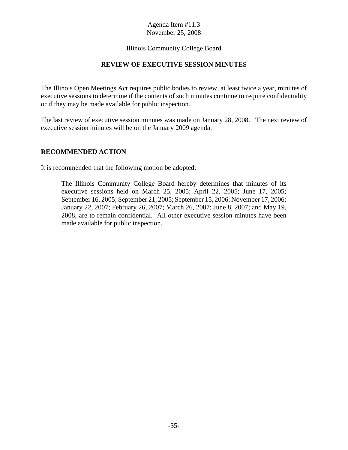# Illinois Community College Board

# **REVIEW OF EXECUTIVE SESSION MINUTES**

The Illinois Open Meetings Act requires public bodies to review, at least twice a year, minutes of executive sessions to determine if the contents of such minutes continue to require confidentiality or if they may be made available for public inspection.

The last review of executive session minutes was made on January 28, 2008. The next review of executive session minutes will be on the January 2009 agenda.

#### **RECOMMENDED ACTION**

It is recommended that the following motion be adopted:

The Illinois Community College Board hereby determines that minutes of its executive sessions held on March 25, 2005; April 22, 2005; June 17, 2005; September 16, 2005; September 21, 2005; September 15, 2006; November 17, 2006; January 22, 2007; February 26, 2007; March 26, 2007; June 8, 2007; and May 19, 2008, are to remain confidential. All other executive session minutes have been made available for public inspection.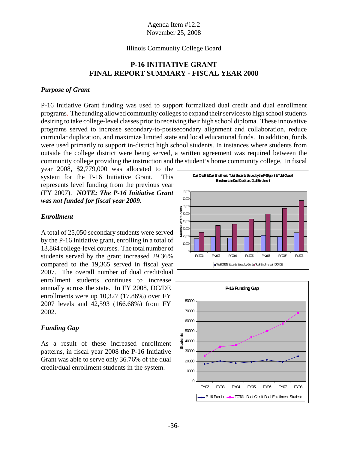# Illinois Community College Board

# **P-16 INITIATIVE GRANT FINAL REPORT SUMMARY - FISCAL YEAR 2008**

#### *Purpose of Grant*

P-16 Initiative Grant funding was used to support formalized dual credit and dual enrollment programs. The funding allowed community colleges to expand their services to high school students desiring to take college-level classes prior to receiving their high school diploma. These innovative programs served to increase secondary-to-postsecondary alignment and collaboration, reduce curricular duplication, and maximize limited state and local educational funds. In addition, funds were used primarily to support in-district high school students. In instances where students from outside the college district were being served, a written agreement was required between the community college providing the instruction and the student's home community college. In fiscal

year 2008, \$2,779,000 was allocated to the system for the P-16 Initiative Grant. This represents level funding from the previous year (FY 2007). *NOTE: The P-16 Initiative Grant was not funded for fiscal year 2009.*

#### *Enrollment*

A total of 25,050 secondary students were served by the P-16 Initiative grant, enrolling in a total of 13,864 college-level courses. The total number of students served by the grant increased 29.36% compared to the 19,365 served in fiscal year 2007. The overall number of dual credit/dual enrollment students continues to increase annually across the state. In FY 2008, DC/DE enrollments were up 10,327 (17.86%) over FY 2007 levels and 42,593 (166.68%) from FY 2002.

#### *Funding Gap*

As a result of these increased enrollment patterns, in fiscal year 2008 the P-16 Initiative Grant was able to serve only 36.76% of the dual credit/dual enrollment students in the system.



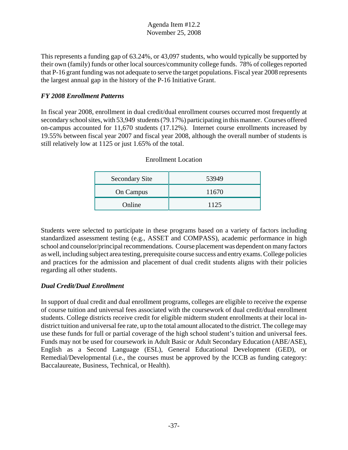This represents a funding gap of 63.24%, or 43,097 students, who would typically be supported by their own (family) funds or other local sources/community college funds. 78% of colleges reported that P-16 grant funding was not adequate to serve the target populations. Fiscal year 2008 represents the largest annual gap in the history of the P-16 Initiative Grant.

# *FY 2008 Enrollment Patterns*

In fiscal year 2008, enrollment in dual credit/dual enrollment courses occurred most frequently at secondary school sites, with 53,949 students (79.17%) participating in this manner. Courses offered on-campus accounted for 11,670 students (17.12%). Internet course enrollments increased by 19.55% between fiscal year 2007 and fiscal year 2008, although the overall number of students is still relatively low at 1125 or just 1.65% of the total.

| <b>Secondary Site</b> | 53949 |
|-----------------------|-------|
| On Campus             | 11670 |
| Online                | 1125  |

# Enrollment Location

Students were selected to participate in these programs based on a variety of factors including standardized assessment testing (e.g., ASSET and COMPASS), academic performance in high school and counselor/principal recommendations. Course placement was dependent on many factors as well, including subject area testing, prerequisite course success and entry exams. College policies and practices for the admission and placement of dual credit students aligns with their policies regarding all other students.

# *Dual Credit/Dual Enrollment*

In support of dual credit and dual enrollment programs, colleges are eligible to receive the expense of course tuition and universal fees associated with the coursework of dual credit/dual enrollment students. College districts receive credit for eligible midterm student enrollments at their local indistrict tuition and universal fee rate, up to the total amount allocated to the district. The college may use these funds for full or partial coverage of the high school student's tuition and universal fees. Funds may not be used for coursework in Adult Basic or Adult Secondary Education (ABE/ASE), English as a Second Language (ESL), General Educational Development (GED), or Remedial/Developmental (i.e., the courses must be approved by the ICCB as funding category: Baccalaureate, Business, Technical, or Health).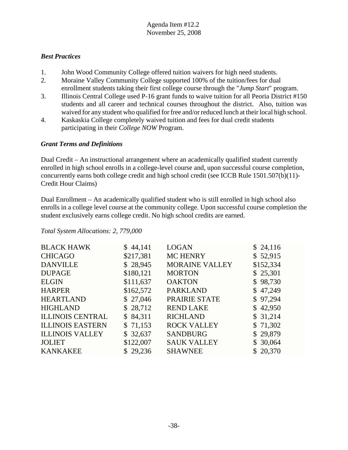# *Best Practices*

- 1. John Wood Community College offered tuition waivers for high need students.
- 2. Moraine Valley Community College supported 100% of the tuition/fees for dual enrollment students taking their first college course through the "*Jump Start*" program.
- 3. Illinois Central College used P-16 grant funds to waive tuition for all Peoria District #150 students and all career and technical courses throughout the district. Also, tuition was waived for any student who qualified for free and/or reduced lunch at their local high school.
- 4. Kaskaskia College completely waived tuition and fees for dual credit students participating in their *College NOW* Program.

# *Grant Terms and Definitions*

Dual Credit – An instructional arrangement where an academically qualified student currently enrolled in high school enrolls in a college-level course and, upon successful course completion, concurrently earns both college credit and high school credit (see ICCB Rule 1501.507(b)(11)- Credit Hour Claims)

Dual Enrollment – An academically qualified student who is still enrolled in high school also enrolls in a college level course at the community college. Upon successful course completion the student exclusively earns college credit. No high school credits are earned.

| <b>BLACK HAWK</b>       | \$44,141  | <b>LOGAN</b>          | \$24,116  |
|-------------------------|-----------|-----------------------|-----------|
| <b>CHICAGO</b>          | \$217,381 | <b>MC HENRY</b>       | \$52,915  |
| <b>DANVILLE</b>         | \$28,945  | <b>MORAINE VALLEY</b> | \$152,334 |
| <b>DUPAGE</b>           | \$180,121 | <b>MORTON</b>         | \$25,301  |
| <b>ELGIN</b>            | \$111,637 | <b>OAKTON</b>         | \$98,730  |
| <b>HARPER</b>           | \$162,572 | <b>PARKLAND</b>       | \$47,249  |
| <b>HEARTLAND</b>        | \$27,046  | PRAIRIE STATE         | \$97,294  |
| <b>HIGHLAND</b>         | \$28,712  | <b>REND LAKE</b>      | \$42,950  |
| <b>ILLINOIS CENTRAL</b> | \$84,311  | <b>RICHLAND</b>       | \$31,214  |
| <b>ILLINOIS EASTERN</b> | \$71,153  | <b>ROCK VALLEY</b>    | \$71,302  |
| <b>ILLINOIS VALLEY</b>  | \$32,637  | <b>SANDBURG</b>       | \$29,879  |
| <b>JOLIET</b>           | \$122,007 | <b>SAUK VALLEY</b>    | \$30,064  |
| <b>KANKAKEE</b>         | \$29,236  | <b>SHAWNEE</b>        | \$20,370  |

*Total System Allocations: 2, 779,000*